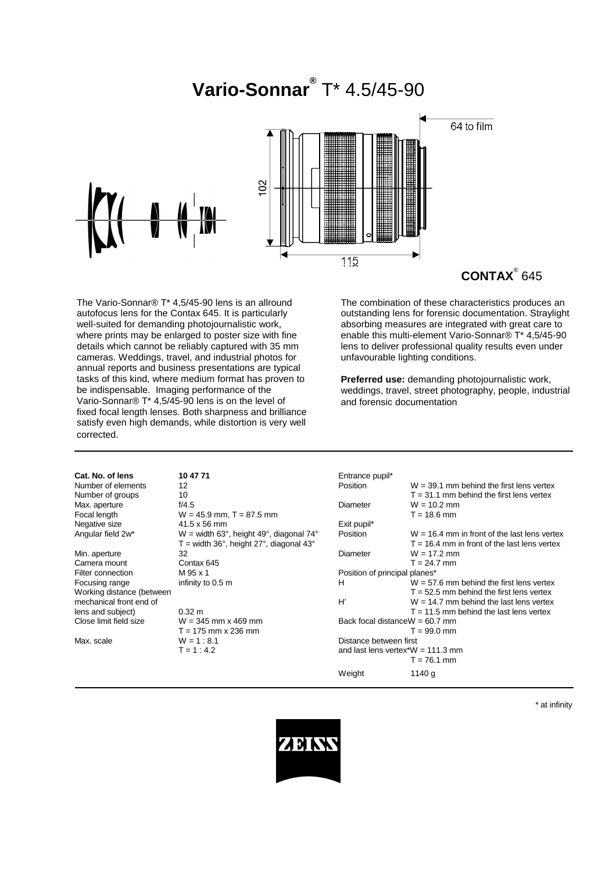

# **CONTAX**® 645

The Vario-Sonnar® T\* 4,5/45-90 lens is an allround autofocus lens for the Contax 645. It is particularly well-suited for demanding photojournalistic work, where prints may be enlarged to poster size with fine details which cannot be reliably captured with 35 mm cameras. Weddings, travel, and industrial photos for annual reports and business presentations are typical tasks of this kind, where medium format has proven to be indispensable. Imaging performance of the Vario-Sonnar® T\* 4,5/45-90 lens is on the level of fixed focal length lenses. Both sharpness and brilliance satisfy even high demands, while distortion is very well corrected.

The combination of these characteristics produces an outstanding lens for forensic documentation. Straylight absorbing measures are integrated with great care to enable this multi-element Vario-Sonnar® T\* 4,5/45-90 lens to deliver professional quality results even under unfavourable lighting conditions.

**Preferred use:** demanding photojournalistic work, weddings, travel, street photography, people, industrial and forensic documentation

| Cat. No. of lens          | 10 47 71                                  | Entrance pupil*                      |                                                |  |
|---------------------------|-------------------------------------------|--------------------------------------|------------------------------------------------|--|
| Number of elements        | 12                                        | Position                             | $W = 39.1$ mm behind the first lens vertex     |  |
| Number of groups          | 10                                        |                                      | $T = 31.1$ mm behind the first lens vertex     |  |
| Max. aperture             | f/4.5                                     | Diameter                             | $W = 10.2$ mm                                  |  |
| Focal length              | $W = 45.9$ mm, T = 87.5 mm                |                                      | $T = 18.6$ mm                                  |  |
| Negative size             | 41.5 x 56 mm                              | Exit pupil*                          |                                                |  |
| Angular field 2w*         | $W =$ width 63°, height 49°, diagonal 74° | Position                             | $W = 16.4$ mm in front of the last lens vertex |  |
|                           | $T =$ width 36°, height 27°, diagonal 43° |                                      | $T = 16.4$ mm in front of the last lens vertex |  |
| Min. aperture             | 32                                        | Diameter                             | $W = 17.2$ mm                                  |  |
| Camera mount              | Contax 645                                |                                      | $T = 24.7$ mm                                  |  |
| Filter connection         | M 95 x 1                                  | Position of principal planes*        |                                                |  |
| Focusing range            | infinity to 0.5 m                         | H                                    | $W = 57.6$ mm behind the first lens vertex     |  |
| Working distance (between |                                           |                                      | $T = 52.5$ mm behind the first lens vertex     |  |
| mechanical front end of   |                                           | H'                                   | $W = 14.7$ mm behind the last lens vertex      |  |
| lens and subject)         | $0.32 \text{ m}$                          |                                      | $T = 11.5$ mm behind the last lens vertex      |  |
| Close limit field size    | $W = 345$ mm x 469 mm                     |                                      | Back focal distance $W = 60.7$ mm              |  |
|                           | $T = 175$ mm x 236 mm                     |                                      | $T = 99.0$ mm                                  |  |
| Max. scale                | $W = 1 : 8.1$                             |                                      | Distance between first                         |  |
|                           | $T = 1:4.2$                               | and last lens vertex* $W = 111.3$ mm |                                                |  |
|                           |                                           |                                      | $T = 76.1$ mm                                  |  |
|                           |                                           | Weight                               | 1140 g                                         |  |

\* at infinity

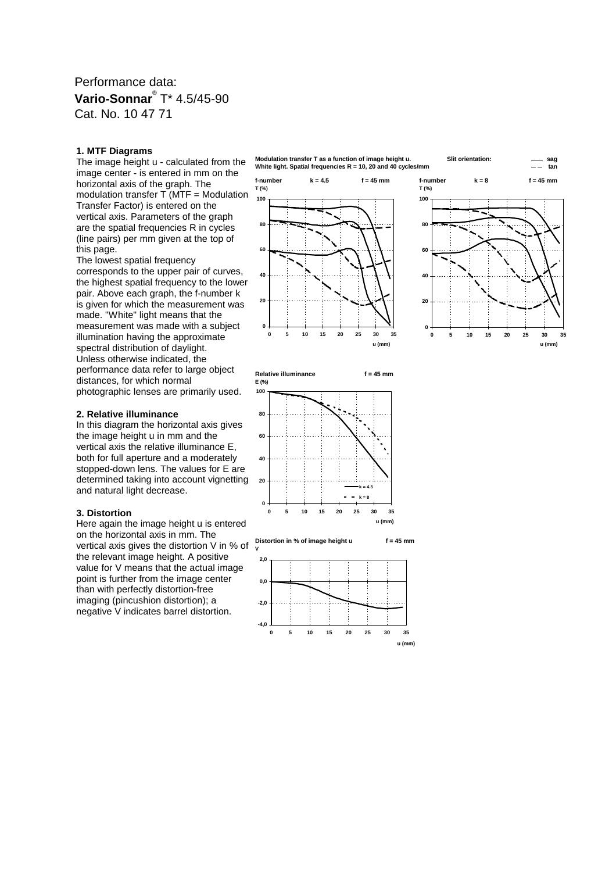### Performance data: **Vario-Sonnar**® T\* 4.5/45-90 Cat. No. 10 47 71

#### **1. MTF Diagrams**

The image height u - calculated from the image center - is entered in mm on the horizontal axis of the graph. The modulation transfer T (MTF = Modulation Transfer Factor) is entered on the vertical axis. Parameters of the graph are the spatial frequencies R in cycles (line pairs) per mm given at the top of this page.

The lowest spatial frequency corresponds to the upper pair of curves, the highest spatial frequency to the lower pair. Above each graph, the f-number k is given for which the measurement was made. "White" light means that the measurement was made with a subject illumination having the approximate spectral distribution of daylight. Unless otherwise indicated, the performance data refer to large object distances, for which normal photographic lenses are primarily used.

#### **2. Relative illuminance**

In this diagram the horizontal axis gives the image height u in mm and the vertical axis the relative illuminance E, both for full aperture and a moderately stopped-down lens. The values for E are determined taking into account vignetting and natural light decrease.

#### **3. Distortion**

Here again the image height u is entered on the horizontal axis in mm. The vertical axis gives the distortion V in % of the relevant image height. A positive value for V means that the actual image point is further from the image center than with perfectly distortion-free imaging (pincushion distortion); a negative V indicates barrel distortion.





**Relative illuminance f = 45 mm E (%)**





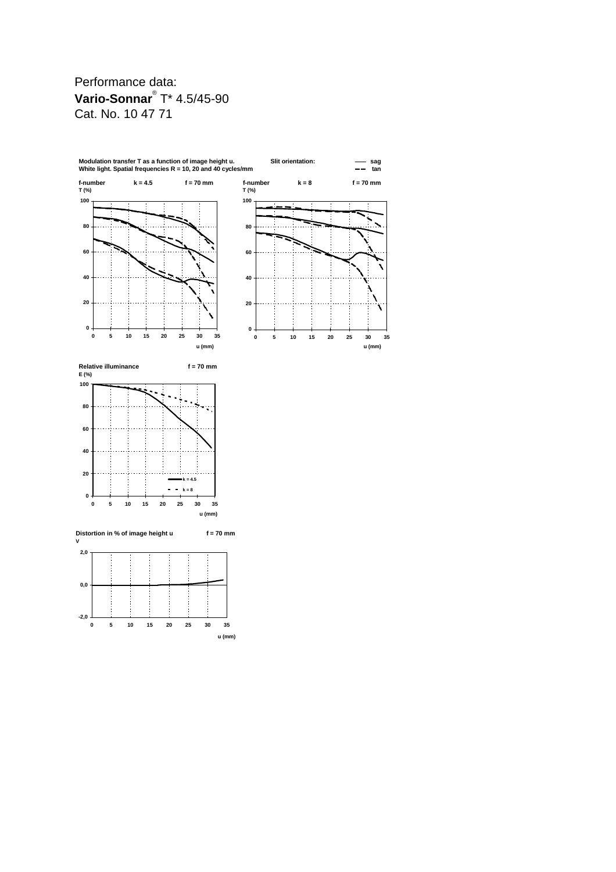## Performance data: **Vario-Sonnar**® T\* 4.5/45-90 Cat. No. 10 47 71